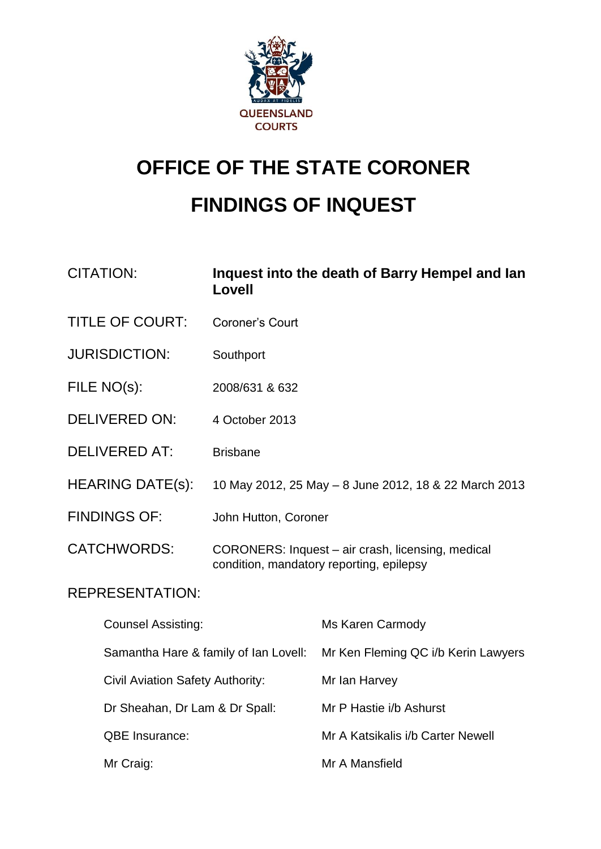

# **OFFICE OF THE STATE CORONER FINDINGS OF INQUEST**

| <b>CITATION:</b>                        | Lovell                                | Inquest into the death of Barry Hempel and lan                                                |
|-----------------------------------------|---------------------------------------|-----------------------------------------------------------------------------------------------|
| <b>TITLE OF COURT:</b>                  | <b>Coroner's Court</b>                |                                                                                               |
| <b>JURISDICTION:</b>                    | Southport                             |                                                                                               |
| FILE NO(s):                             | 2008/631 & 632                        |                                                                                               |
| <b>DELIVERED ON:</b>                    | 4 October 2013                        |                                                                                               |
| <b>DELIVERED AT:</b>                    | <b>Brisbane</b>                       |                                                                                               |
| <b>HEARING DATE(s):</b>                 |                                       | 10 May 2012, 25 May - 8 June 2012, 18 & 22 March 2013                                         |
| <b>FINDINGS OF:</b>                     | John Hutton, Coroner                  |                                                                                               |
| <b>CATCHWORDS:</b>                      |                                       | CORONERS: Inquest - air crash, licensing, medical<br>condition, mandatory reporting, epilepsy |
| <b>REPRESENTATION:</b>                  |                                       |                                                                                               |
| <b>Counsel Assisting:</b>               |                                       | Ms Karen Carmody                                                                              |
|                                         | Samantha Hare & family of Ian Lovell: | Mr Ken Fleming QC i/b Kerin Lawyers                                                           |
| <b>Civil Aviation Safety Authority:</b> |                                       | Mr Ian Harvey                                                                                 |
| Dr Sheahan, Dr Lam & Dr Spall:          |                                       | Mr P Hastie i/b Ashurst                                                                       |
| QBE Insurance:                          |                                       | Mr A Katsikalis i/b Carter Newell                                                             |
| Mr Craig:                               |                                       | Mr A Mansfield                                                                                |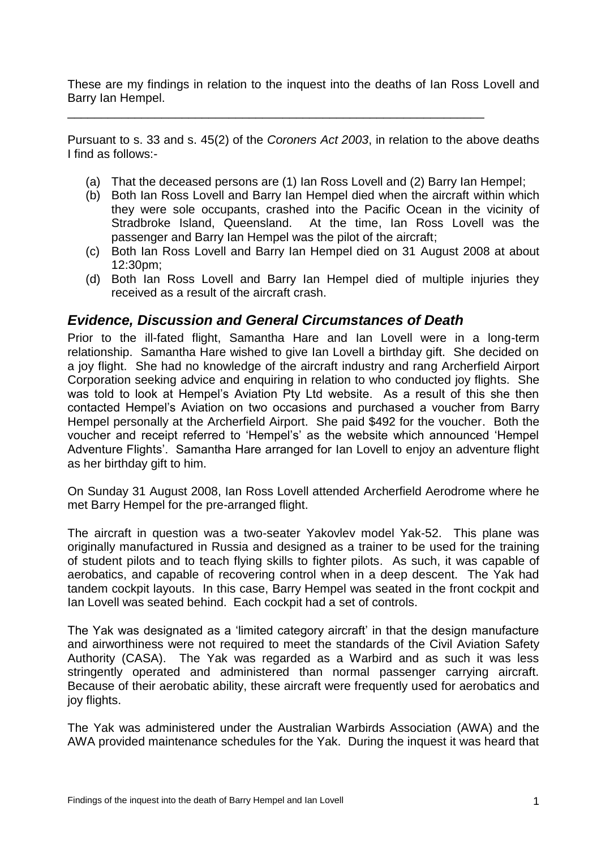These are my findings in relation to the inquest into the deaths of Ian Ross Lovell and Barry Ian Hempel.

\_\_\_\_\_\_\_\_\_\_\_\_\_\_\_\_\_\_\_\_\_\_\_\_\_\_\_\_\_\_\_\_\_\_\_\_\_\_\_\_\_\_\_\_\_\_\_\_\_\_\_\_\_\_\_\_\_\_\_\_\_\_

Pursuant to s. 33 and s. 45(2) of the *Coroners Act 2003*, in relation to the above deaths I find as follows:-

- (a) That the deceased persons are (1) Ian Ross Lovell and (2) Barry Ian Hempel;
- (b) Both Ian Ross Lovell and Barry Ian Hempel died when the aircraft within which they were sole occupants, crashed into the Pacific Ocean in the vicinity of Stradbroke Island, Queensland. At the time, Ian Ross Lovell was the passenger and Barry Ian Hempel was the pilot of the aircraft;
- (c) Both Ian Ross Lovell and Barry Ian Hempel died on 31 August 2008 at about 12:30pm;
- (d) Both Ian Ross Lovell and Barry Ian Hempel died of multiple injuries they received as a result of the aircraft crash.

# *Evidence, Discussion and General Circumstances of Death*

Prior to the ill-fated flight, Samantha Hare and Ian Lovell were in a long-term relationship. Samantha Hare wished to give Ian Lovell a birthday gift. She decided on a joy flight. She had no knowledge of the aircraft industry and rang Archerfield Airport Corporation seeking advice and enquiring in relation to who conducted joy flights. She was told to look at Hempel's Aviation Pty Ltd website. As a result of this she then contacted Hempel's Aviation on two occasions and purchased a voucher from Barry Hempel personally at the Archerfield Airport. She paid \$492 for the voucher. Both the voucher and receipt referred to 'Hempel's' as the website which announced 'Hempel Adventure Flights'. Samantha Hare arranged for Ian Lovell to enjoy an adventure flight as her birthday gift to him.

On Sunday 31 August 2008, Ian Ross Lovell attended Archerfield Aerodrome where he met Barry Hempel for the pre-arranged flight.

The aircraft in question was a two-seater Yakovlev model Yak-52. This plane was originally manufactured in Russia and designed as a trainer to be used for the training of student pilots and to teach flying skills to fighter pilots. As such, it was capable of aerobatics, and capable of recovering control when in a deep descent. The Yak had tandem cockpit layouts. In this case, Barry Hempel was seated in the front cockpit and Ian Lovell was seated behind. Each cockpit had a set of controls.

The Yak was designated as a 'limited category aircraft' in that the design manufacture and airworthiness were not required to meet the standards of the Civil Aviation Safety Authority (CASA). The Yak was regarded as a Warbird and as such it was less stringently operated and administered than normal passenger carrying aircraft. Because of their aerobatic ability, these aircraft were frequently used for aerobatics and joy flights.

The Yak was administered under the Australian Warbirds Association (AWA) and the AWA provided maintenance schedules for the Yak. During the inquest it was heard that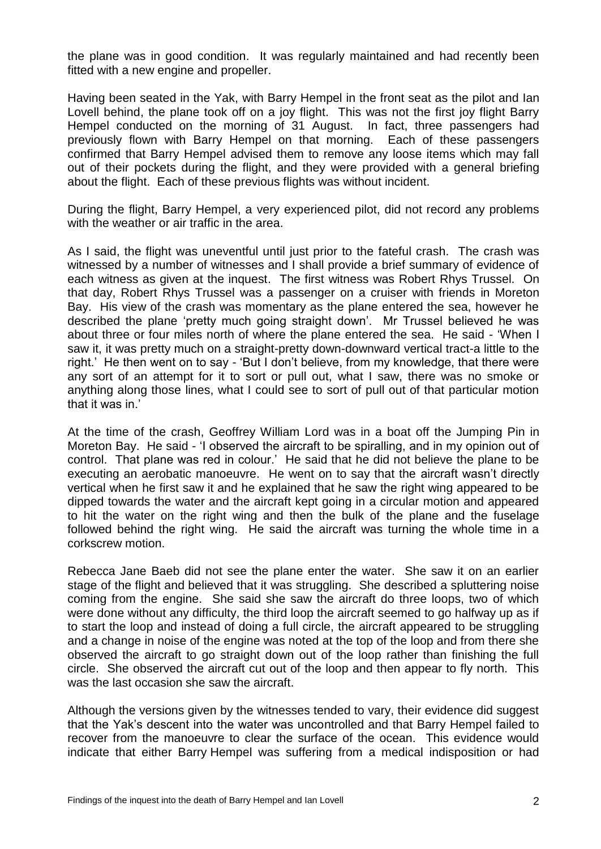the plane was in good condition. It was regularly maintained and had recently been fitted with a new engine and propeller.

Having been seated in the Yak, with Barry Hempel in the front seat as the pilot and Ian Lovell behind, the plane took off on a joy flight. This was not the first joy flight Barry Hempel conducted on the morning of 31 August. In fact, three passengers had previously flown with Barry Hempel on that morning. Each of these passengers confirmed that Barry Hempel advised them to remove any loose items which may fall out of their pockets during the flight, and they were provided with a general briefing about the flight. Each of these previous flights was without incident.

During the flight, Barry Hempel, a very experienced pilot, did not record any problems with the weather or air traffic in the area.

As I said, the flight was uneventful until just prior to the fateful crash. The crash was witnessed by a number of witnesses and I shall provide a brief summary of evidence of each witness as given at the inquest. The first witness was Robert Rhys Trussel. On that day, Robert Rhys Trussel was a passenger on a cruiser with friends in Moreton Bay. His view of the crash was momentary as the plane entered the sea, however he described the plane 'pretty much going straight down'. Mr Trussel believed he was about three or four miles north of where the plane entered the sea. He said - 'When I saw it, it was pretty much on a straight-pretty down-downward vertical tract-a little to the right.' He then went on to say - 'But I don't believe, from my knowledge, that there were any sort of an attempt for it to sort or pull out, what I saw, there was no smoke or anything along those lines, what I could see to sort of pull out of that particular motion that it was in.'

At the time of the crash, Geoffrey William Lord was in a boat off the Jumping Pin in Moreton Bay. He said - 'I observed the aircraft to be spiralling, and in my opinion out of control. That plane was red in colour.' He said that he did not believe the plane to be executing an aerobatic manoeuvre. He went on to say that the aircraft wasn't directly vertical when he first saw it and he explained that he saw the right wing appeared to be dipped towards the water and the aircraft kept going in a circular motion and appeared to hit the water on the right wing and then the bulk of the plane and the fuselage followed behind the right wing. He said the aircraft was turning the whole time in a corkscrew motion.

Rebecca Jane Baeb did not see the plane enter the water. She saw it on an earlier stage of the flight and believed that it was struggling. She described a spluttering noise coming from the engine. She said she saw the aircraft do three loops, two of which were done without any difficulty, the third loop the aircraft seemed to go halfway up as if to start the loop and instead of doing a full circle, the aircraft appeared to be struggling and a change in noise of the engine was noted at the top of the loop and from there she observed the aircraft to go straight down out of the loop rather than finishing the full circle. She observed the aircraft cut out of the loop and then appear to fly north. This was the last occasion she saw the aircraft.

Although the versions given by the witnesses tended to vary, their evidence did suggest that the Yak's descent into the water was uncontrolled and that Barry Hempel failed to recover from the manoeuvre to clear the surface of the ocean. This evidence would indicate that either Barry Hempel was suffering from a medical indisposition or had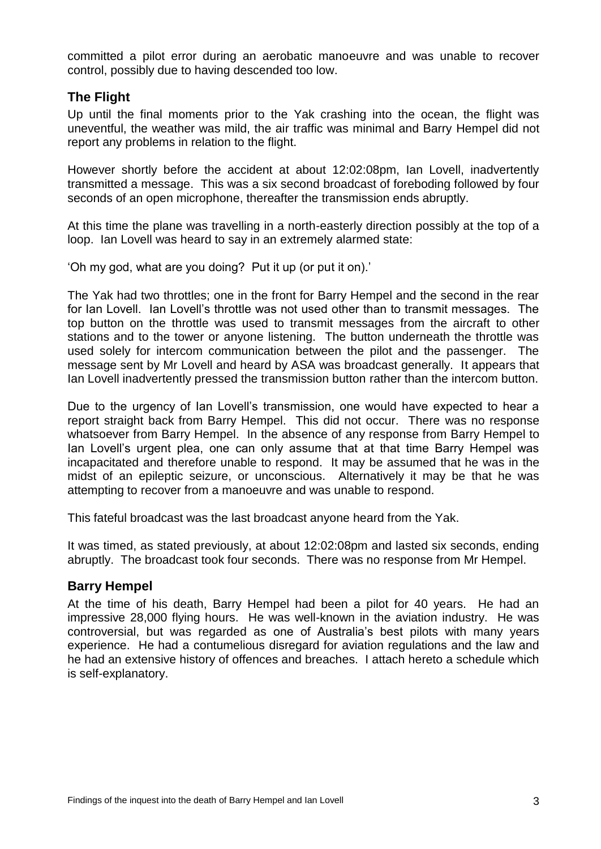committed a pilot error during an aerobatic manoeuvre and was unable to recover control, possibly due to having descended too low.

#### **The Flight**

Up until the final moments prior to the Yak crashing into the ocean, the flight was uneventful, the weather was mild, the air traffic was minimal and Barry Hempel did not report any problems in relation to the flight.

However shortly before the accident at about 12:02:08pm, Ian Lovell, inadvertently transmitted a message. This was a six second broadcast of foreboding followed by four seconds of an open microphone, thereafter the transmission ends abruptly.

At this time the plane was travelling in a north-easterly direction possibly at the top of a loop. Ian Lovell was heard to say in an extremely alarmed state:

'Oh my god, what are you doing? Put it up (or put it on).'

The Yak had two throttles; one in the front for Barry Hempel and the second in the rear for Ian Lovell. Ian Lovell's throttle was not used other than to transmit messages. The top button on the throttle was used to transmit messages from the aircraft to other stations and to the tower or anyone listening. The button underneath the throttle was used solely for intercom communication between the pilot and the passenger. The message sent by Mr Lovell and heard by ASA was broadcast generally. It appears that Ian Lovell inadvertently pressed the transmission button rather than the intercom button.

Due to the urgency of Ian Lovell's transmission, one would have expected to hear a report straight back from Barry Hempel. This did not occur. There was no response whatsoever from Barry Hempel. In the absence of any response from Barry Hempel to Ian Lovell's urgent plea, one can only assume that at that time Barry Hempel was incapacitated and therefore unable to respond. It may be assumed that he was in the midst of an epileptic seizure, or unconscious. Alternatively it may be that he was attempting to recover from a manoeuvre and was unable to respond.

This fateful broadcast was the last broadcast anyone heard from the Yak.

It was timed, as stated previously, at about 12:02:08pm and lasted six seconds, ending abruptly. The broadcast took four seconds. There was no response from Mr Hempel.

#### **Barry Hempel**

At the time of his death, Barry Hempel had been a pilot for 40 years. He had an impressive 28,000 flying hours. He was well-known in the aviation industry. He was controversial, but was regarded as one of Australia's best pilots with many years experience. He had a contumelious disregard for aviation regulations and the law and he had an extensive history of offences and breaches. I attach hereto a schedule which is self-explanatory.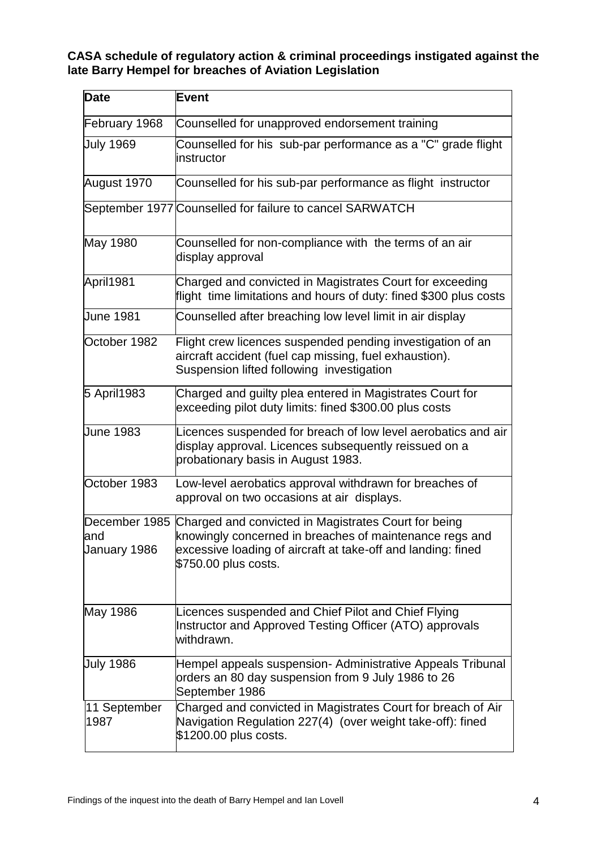#### **CASA schedule of regulatory action & criminal proceedings instigated against the late Barry Hempel for breaches of Aviation Legislation**

| Date                                 | <b>Event</b>                                                                                                                                                                                            |
|--------------------------------------|---------------------------------------------------------------------------------------------------------------------------------------------------------------------------------------------------------|
| February 1968                        | Counselled for unapproved endorsement training                                                                                                                                                          |
| <b>July 1969</b>                     | Counselled for his sub-par performance as a "C" grade flight<br>instructor                                                                                                                              |
| August 1970                          | Counselled for his sub-par performance as flight instructor                                                                                                                                             |
|                                      | September 1977 Counselled for failure to cancel SARWATCH                                                                                                                                                |
| May 1980                             | Counselled for non-compliance with the terms of an air<br>display approval                                                                                                                              |
| April1981                            | Charged and convicted in Magistrates Court for exceeding<br>flight time limitations and hours of duty: fined \$300 plus costs                                                                           |
| <b>June 1981</b>                     | Counselled after breaching low level limit in air display                                                                                                                                               |
| October 1982                         | Flight crew licences suspended pending investigation of an<br>aircraft accident (fuel cap missing, fuel exhaustion).<br>Suspension lifted following investigation                                       |
| 5 April1983                          | Charged and guilty plea entered in Magistrates Court for<br>exceeding pilot duty limits: fined \$300.00 plus costs                                                                                      |
| <b>June 1983</b>                     | Licences suspended for breach of low level aerobatics and air<br>display approval. Licences subsequently reissued on a<br>probationary basis in August 1983.                                            |
| October 1983                         | Low-level aerobatics approval withdrawn for breaches of<br>approval on two occasions at air displays.                                                                                                   |
| December 1985<br>and<br>January 1986 | Charged and convicted in Magistrates Court for being<br>knowingly concerned in breaches of maintenance regs and<br>excessive loading of aircraft at take-off and landing: fined<br>\$750.00 plus costs. |
| May 1986                             | Licences suspended and Chief Pilot and Chief Flying<br>Instructor and Approved Testing Officer (ATO) approvals<br>withdrawn.                                                                            |
| <b>July 1986</b>                     | Hempel appeals suspension- Administrative Appeals Tribunal<br>orders an 80 day suspension from 9 July 1986 to 26<br>September 1986                                                                      |
| 11 September<br>1987                 | Charged and convicted in Magistrates Court for breach of Air<br>Navigation Regulation 227(4) (over weight take-off): fined<br>\$1200.00 plus costs.                                                     |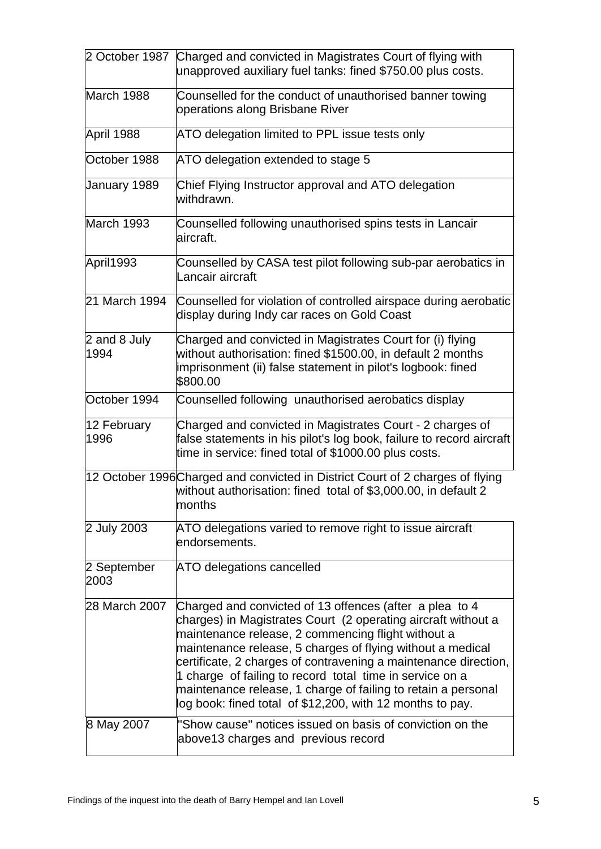|                      | 2 October 1987 Charged and convicted in Magistrates Court of flying with<br>unapproved auxiliary fuel tanks: fined \$750.00 plus costs.                                                                                                                                                                                                                                                                                                                                                                   |
|----------------------|-----------------------------------------------------------------------------------------------------------------------------------------------------------------------------------------------------------------------------------------------------------------------------------------------------------------------------------------------------------------------------------------------------------------------------------------------------------------------------------------------------------|
| March 1988           | Counselled for the conduct of unauthorised banner towing<br>operations along Brisbane River                                                                                                                                                                                                                                                                                                                                                                                                               |
| April 1988           | ATO delegation limited to PPL issue tests only                                                                                                                                                                                                                                                                                                                                                                                                                                                            |
| October 1988         | ATO delegation extended to stage 5                                                                                                                                                                                                                                                                                                                                                                                                                                                                        |
| January 1989         | Chief Flying Instructor approval and ATO delegation<br>withdrawn.                                                                                                                                                                                                                                                                                                                                                                                                                                         |
| March 1993           | Counselled following unauthorised spins tests in Lancair<br>aircraft.                                                                                                                                                                                                                                                                                                                                                                                                                                     |
| April1993            | Counselled by CASA test pilot following sub-par aerobatics in<br>Lancair aircraft                                                                                                                                                                                                                                                                                                                                                                                                                         |
| 21 March 1994        | Counselled for violation of controlled airspace during aerobatic<br>display during Indy car races on Gold Coast                                                                                                                                                                                                                                                                                                                                                                                           |
| 2 and 8 July<br>1994 | Charged and convicted in Magistrates Court for (i) flying<br>without authorisation: fined \$1500.00, in default 2 months<br>imprisonment (ii) false statement in pilot's logbook: fined<br>\$800.00                                                                                                                                                                                                                                                                                                       |
| October 1994         | Counselled following unauthorised aerobatics display                                                                                                                                                                                                                                                                                                                                                                                                                                                      |
| 12 February<br>1996  | Charged and convicted in Magistrates Court - 2 charges of<br>false statements in his pilot's log book, failure to record aircraft<br>time in service: fined total of \$1000.00 plus costs.                                                                                                                                                                                                                                                                                                                |
|                      | 12 October 1996 Charged and convicted in District Court of 2 charges of flying<br>without authorisation: fined total of \$3,000.00, in default 2<br>months                                                                                                                                                                                                                                                                                                                                                |
| 2 July 2003          | ATO delegations varied to remove right to issue aircraft<br>endorsements.                                                                                                                                                                                                                                                                                                                                                                                                                                 |
| 2 September<br>2003  | <b>ATO delegations cancelled</b>                                                                                                                                                                                                                                                                                                                                                                                                                                                                          |
| 28 March 2007        | Charged and convicted of 13 offences (after a plea to 4<br>charges) in Magistrates Court (2 operating aircraft without a<br>maintenance release, 2 commencing flight without a<br>maintenance release, 5 charges of flying without a medical<br>certificate, 2 charges of contravening a maintenance direction,<br>1 charge of failing to record total time in service on a<br>maintenance release, 1 charge of failing to retain a personal<br>log book: fined total of \$12,200, with 12 months to pay. |
| 8 May 2007           | "Show cause" notices issued on basis of conviction on the<br>above 13 charges and previous record                                                                                                                                                                                                                                                                                                                                                                                                         |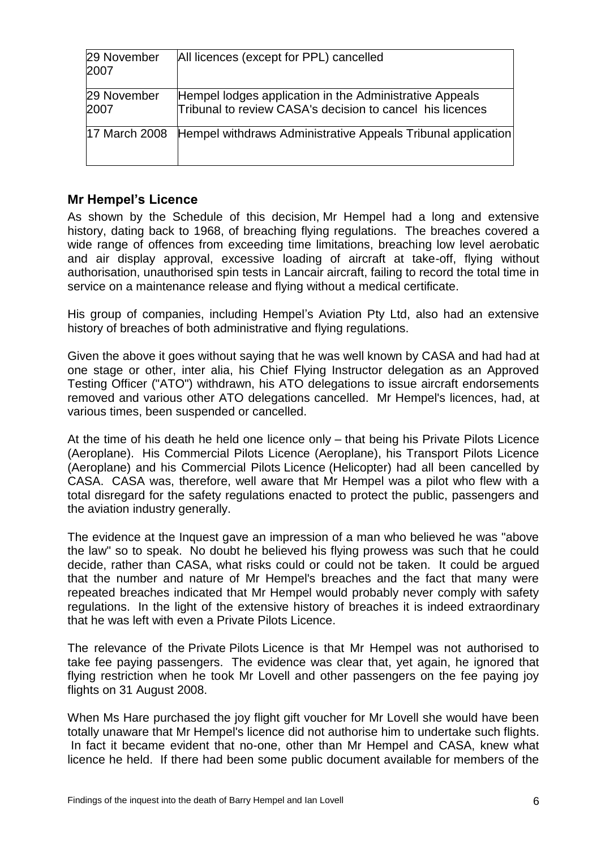| 29 November<br>2007  | All licences (except for PPL) cancelled                                                                              |
|----------------------|----------------------------------------------------------------------------------------------------------------------|
| 29 November<br>2007  | Hempel lodges application in the Administrative Appeals<br>Tribunal to review CASA's decision to cancel his licences |
| <b>17 March 2008</b> | Hempel withdraws Administrative Appeals Tribunal application                                                         |

## **Mr Hempel's Licence**

As shown by the Schedule of this decision, Mr Hempel had a long and extensive history, dating back to 1968, of breaching flying regulations. The breaches covered a wide range of offences from exceeding time limitations, breaching low level aerobatic and air display approval, excessive loading of aircraft at take-off, flying without authorisation, unauthorised spin tests in Lancair aircraft, failing to record the total time in service on a maintenance release and flying without a medical certificate.

His group of companies, including Hempel's Aviation Pty Ltd, also had an extensive history of breaches of both administrative and flying regulations.

Given the above it goes without saying that he was well known by CASA and had had at one stage or other, inter alia, his Chief Flying Instructor delegation as an Approved Testing Officer ("ATO") withdrawn, his ATO delegations to issue aircraft endorsements removed and various other ATO delegations cancelled. Mr Hempel's licences, had, at various times, been suspended or cancelled.

At the time of his death he held one licence only – that being his Private Pilots Licence (Aeroplane). His Commercial Pilots Licence (Aeroplane), his Transport Pilots Licence (Aeroplane) and his Commercial Pilots Licence (Helicopter) had all been cancelled by CASA. CASA was, therefore, well aware that Mr Hempel was a pilot who flew with a total disregard for the safety regulations enacted to protect the public, passengers and the aviation industry generally.

The evidence at the Inquest gave an impression of a man who believed he was "above the law" so to speak. No doubt he believed his flying prowess was such that he could decide, rather than CASA, what risks could or could not be taken. It could be argued that the number and nature of Mr Hempel's breaches and the fact that many were repeated breaches indicated that Mr Hempel would probably never comply with safety regulations. In the light of the extensive history of breaches it is indeed extraordinary that he was left with even a Private Pilots Licence.

The relevance of the Private Pilots Licence is that Mr Hempel was not authorised to take fee paying passengers. The evidence was clear that, yet again, he ignored that flying restriction when he took Mr Lovell and other passengers on the fee paying joy flights on 31 August 2008.

When Ms Hare purchased the joy flight gift voucher for Mr Lovell she would have been totally unaware that Mr Hempel's licence did not authorise him to undertake such flights. In fact it became evident that no-one, other than Mr Hempel and CASA, knew what licence he held. If there had been some public document available for members of the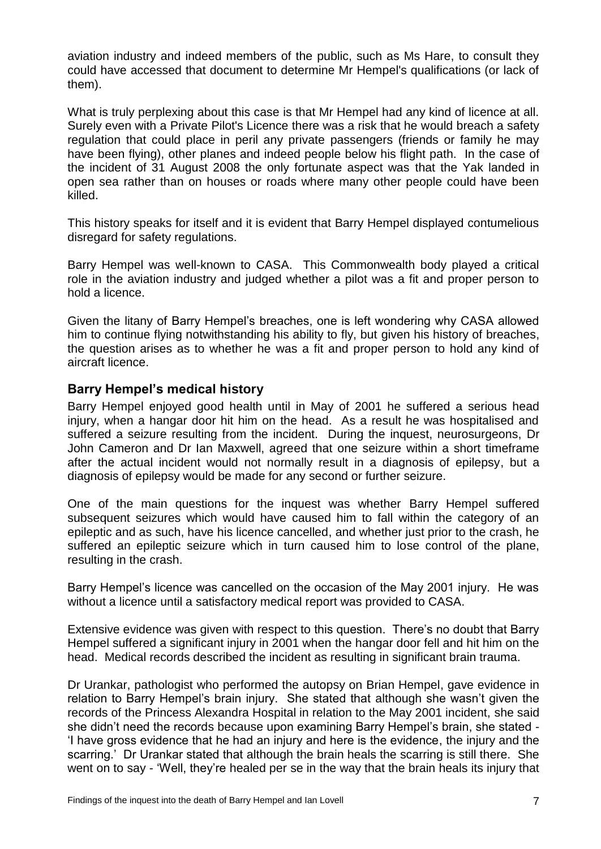aviation industry and indeed members of the public, such as Ms Hare, to consult they could have accessed that document to determine Mr Hempel's qualifications (or lack of them).

What is truly perplexing about this case is that Mr Hempel had any kind of licence at all. Surely even with a Private Pilot's Licence there was a risk that he would breach a safety regulation that could place in peril any private passengers (friends or family he may have been flying), other planes and indeed people below his flight path. In the case of the incident of 31 August 2008 the only fortunate aspect was that the Yak landed in open sea rather than on houses or roads where many other people could have been killed.

This history speaks for itself and it is evident that Barry Hempel displayed contumelious disregard for safety regulations.

Barry Hempel was well-known to CASA. This Commonwealth body played a critical role in the aviation industry and judged whether a pilot was a fit and proper person to hold a licence.

Given the litany of Barry Hempel's breaches, one is left wondering why CASA allowed him to continue flying notwithstanding his ability to fly, but given his history of breaches, the question arises as to whether he was a fit and proper person to hold any kind of aircraft licence.

#### **Barry Hempel's medical history**

Barry Hempel enjoyed good health until in May of 2001 he suffered a serious head injury, when a hangar door hit him on the head. As a result he was hospitalised and suffered a seizure resulting from the incident. During the inquest, neurosurgeons, Dr John Cameron and Dr Ian Maxwell, agreed that one seizure within a short timeframe after the actual incident would not normally result in a diagnosis of epilepsy, but a diagnosis of epilepsy would be made for any second or further seizure.

One of the main questions for the inquest was whether Barry Hempel suffered subsequent seizures which would have caused him to fall within the category of an epileptic and as such, have his licence cancelled, and whether just prior to the crash, he suffered an epileptic seizure which in turn caused him to lose control of the plane, resulting in the crash.

Barry Hempel's licence was cancelled on the occasion of the May 2001 injury. He was without a licence until a satisfactory medical report was provided to CASA.

Extensive evidence was given with respect to this question. There's no doubt that Barry Hempel suffered a significant injury in 2001 when the hangar door fell and hit him on the head. Medical records described the incident as resulting in significant brain trauma.

Dr Urankar, pathologist who performed the autopsy on Brian Hempel, gave evidence in relation to Barry Hempel's brain injury. She stated that although she wasn't given the records of the Princess Alexandra Hospital in relation to the May 2001 incident, she said she didn't need the records because upon examining Barry Hempel's brain, she stated - 'I have gross evidence that he had an injury and here is the evidence, the injury and the scarring.' Dr Urankar stated that although the brain heals the scarring is still there. She went on to say - 'Well, they're healed per se in the way that the brain heals its injury that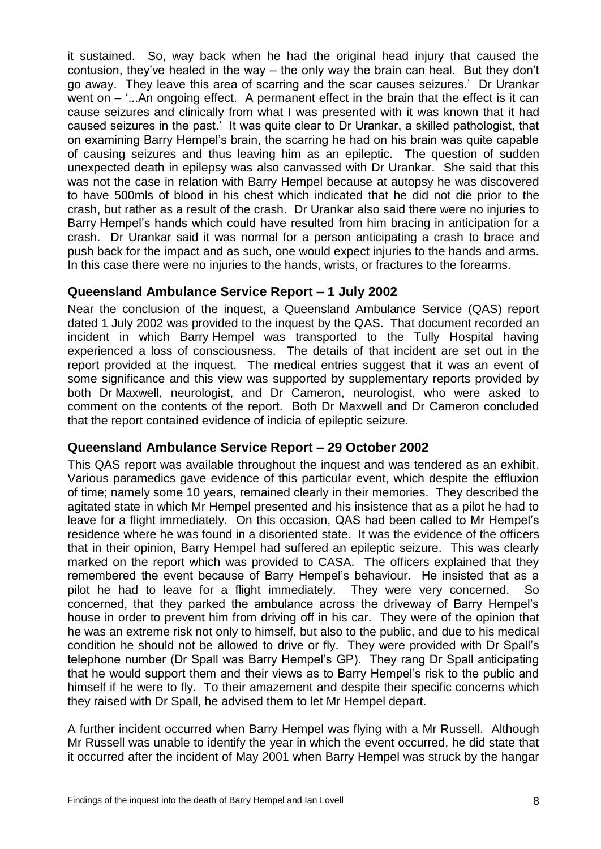it sustained. So, way back when he had the original head injury that caused the contusion, they've healed in the way – the only way the brain can heal. But they don't go away. They leave this area of scarring and the scar causes seizures.' Dr Urankar went on – '...An ongoing effect. A permanent effect in the brain that the effect is it can cause seizures and clinically from what I was presented with it was known that it had caused seizures in the past.' It was quite clear to Dr Urankar, a skilled pathologist, that on examining Barry Hempel's brain, the scarring he had on his brain was quite capable of causing seizures and thus leaving him as an epileptic. The question of sudden unexpected death in epilepsy was also canvassed with Dr Urankar. She said that this was not the case in relation with Barry Hempel because at autopsy he was discovered to have 500mls of blood in his chest which indicated that he did not die prior to the crash, but rather as a result of the crash. Dr Urankar also said there were no injuries to Barry Hempel's hands which could have resulted from him bracing in anticipation for a crash. Dr Urankar said it was normal for a person anticipating a crash to brace and push back for the impact and as such, one would expect injuries to the hands and arms. In this case there were no injuries to the hands, wrists, or fractures to the forearms.

## **Queensland Ambulance Service Report – 1 July 2002**

Near the conclusion of the inquest, a Queensland Ambulance Service (QAS) report dated 1 July 2002 was provided to the inquest by the QAS. That document recorded an incident in which Barry Hempel was transported to the Tully Hospital having experienced a loss of consciousness. The details of that incident are set out in the report provided at the inquest. The medical entries suggest that it was an event of some significance and this view was supported by supplementary reports provided by both Dr Maxwell, neurologist, and Dr Cameron, neurologist, who were asked to comment on the contents of the report. Both Dr Maxwell and Dr Cameron concluded that the report contained evidence of indicia of epileptic seizure.

## **Queensland Ambulance Service Report – 29 October 2002**

This QAS report was available throughout the inquest and was tendered as an exhibit. Various paramedics gave evidence of this particular event, which despite the effluxion of time; namely some 10 years, remained clearly in their memories. They described the agitated state in which Mr Hempel presented and his insistence that as a pilot he had to leave for a flight immediately. On this occasion, QAS had been called to Mr Hempel's residence where he was found in a disoriented state. It was the evidence of the officers that in their opinion, Barry Hempel had suffered an epileptic seizure. This was clearly marked on the report which was provided to CASA. The officers explained that they remembered the event because of Barry Hempel's behaviour. He insisted that as a pilot he had to leave for a flight immediately. They were very concerned. So concerned, that they parked the ambulance across the driveway of Barry Hempel's house in order to prevent him from driving off in his car. They were of the opinion that he was an extreme risk not only to himself, but also to the public, and due to his medical condition he should not be allowed to drive or fly. They were provided with Dr Spall's telephone number (Dr Spall was Barry Hempel's GP). They rang Dr Spall anticipating that he would support them and their views as to Barry Hempel's risk to the public and himself if he were to fly. To their amazement and despite their specific concerns which they raised with Dr Spall, he advised them to let Mr Hempel depart.

A further incident occurred when Barry Hempel was flying with a Mr Russell. Although Mr Russell was unable to identify the year in which the event occurred, he did state that it occurred after the incident of May 2001 when Barry Hempel was struck by the hangar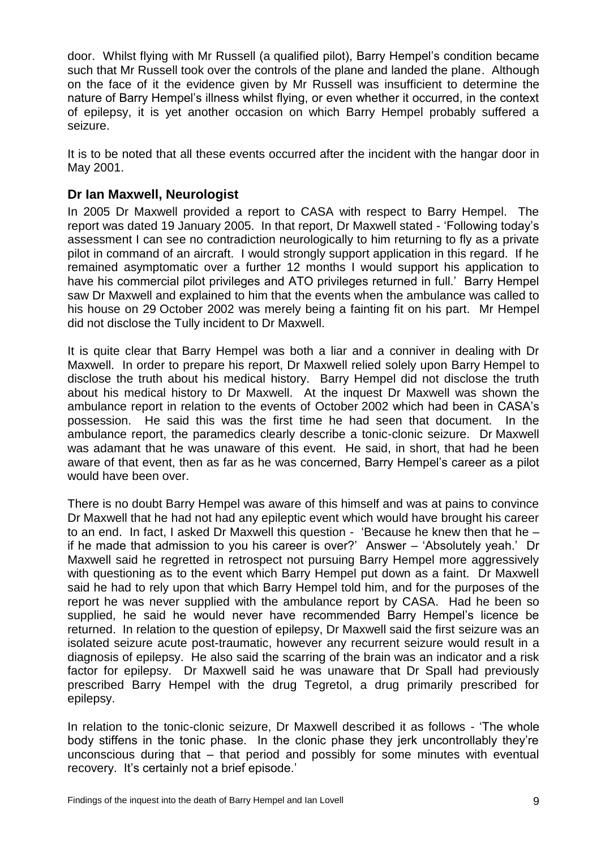door. Whilst flying with Mr Russell (a qualified pilot), Barry Hempel's condition became such that Mr Russell took over the controls of the plane and landed the plane. Although on the face of it the evidence given by Mr Russell was insufficient to determine the nature of Barry Hempel's illness whilst flying, or even whether it occurred, in the context of epilepsy, it is yet another occasion on which Barry Hempel probably suffered a seizure.

It is to be noted that all these events occurred after the incident with the hangar door in May 2001.

## **Dr Ian Maxwell, Neurologist**

In 2005 Dr Maxwell provided a report to CASA with respect to Barry Hempel. The report was dated 19 January 2005. In that report, Dr Maxwell stated - 'Following today's assessment I can see no contradiction neurologically to him returning to fly as a private pilot in command of an aircraft. I would strongly support application in this regard. If he remained asymptomatic over a further 12 months I would support his application to have his commercial pilot privileges and ATO privileges returned in full.' Barry Hempel saw Dr Maxwell and explained to him that the events when the ambulance was called to his house on 29 October 2002 was merely being a fainting fit on his part. Mr Hempel did not disclose the Tully incident to Dr Maxwell.

It is quite clear that Barry Hempel was both a liar and a conniver in dealing with Dr Maxwell. In order to prepare his report, Dr Maxwell relied solely upon Barry Hempel to disclose the truth about his medical history. Barry Hempel did not disclose the truth about his medical history to Dr Maxwell. At the inquest Dr Maxwell was shown the ambulance report in relation to the events of October 2002 which had been in CASA's possession. He said this was the first time he had seen that document. In the ambulance report, the paramedics clearly describe a tonic-clonic seizure. Dr Maxwell was adamant that he was unaware of this event. He said, in short, that had he been aware of that event, then as far as he was concerned, Barry Hempel's career as a pilot would have been over.

There is no doubt Barry Hempel was aware of this himself and was at pains to convince Dr Maxwell that he had not had any epileptic event which would have brought his career to an end. In fact, I asked Dr Maxwell this question - 'Because he knew then that he – if he made that admission to you his career is over?' Answer – 'Absolutely yeah.' Dr Maxwell said he regretted in retrospect not pursuing Barry Hempel more aggressively with questioning as to the event which Barry Hempel put down as a faint. Dr Maxwell said he had to rely upon that which Barry Hempel told him, and for the purposes of the report he was never supplied with the ambulance report by CASA. Had he been so supplied, he said he would never have recommended Barry Hempel's licence be returned. In relation to the question of epilepsy, Dr Maxwell said the first seizure was an isolated seizure acute post-traumatic, however any recurrent seizure would result in a diagnosis of epilepsy. He also said the scarring of the brain was an indicator and a risk factor for epilepsy. Dr Maxwell said he was unaware that Dr Spall had previously prescribed Barry Hempel with the drug Tegretol, a drug primarily prescribed for epilepsy.

In relation to the tonic-clonic seizure, Dr Maxwell described it as follows - 'The whole body stiffens in the tonic phase. In the clonic phase they jerk uncontrollably they're unconscious during that – that period and possibly for some minutes with eventual recovery. It's certainly not a brief episode.'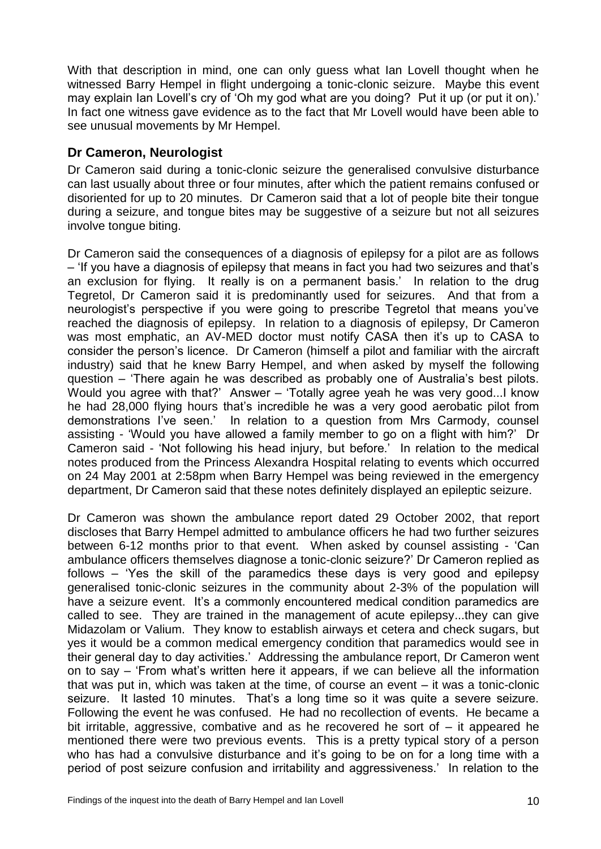With that description in mind, one can only guess what Ian Lovell thought when he witnessed Barry Hempel in flight undergoing a tonic-clonic seizure. Maybe this event may explain Ian Lovell's cry of 'Oh my god what are you doing? Put it up (or put it on).' In fact one witness gave evidence as to the fact that Mr Lovell would have been able to see unusual movements by Mr Hempel.

#### **Dr Cameron, Neurologist**

Dr Cameron said during a tonic-clonic seizure the generalised convulsive disturbance can last usually about three or four minutes, after which the patient remains confused or disoriented for up to 20 minutes. Dr Cameron said that a lot of people bite their tongue during a seizure, and tongue bites may be suggestive of a seizure but not all seizures involve tongue biting.

Dr Cameron said the consequences of a diagnosis of epilepsy for a pilot are as follows – 'If you have a diagnosis of epilepsy that means in fact you had two seizures and that's an exclusion for flying. It really is on a permanent basis.' In relation to the drug Tegretol, Dr Cameron said it is predominantly used for seizures. And that from a neurologist's perspective if you were going to prescribe Tegretol that means you've reached the diagnosis of epilepsy. In relation to a diagnosis of epilepsy, Dr Cameron was most emphatic, an AV-MED doctor must notify CASA then it's up to CASA to consider the person's licence. Dr Cameron (himself a pilot and familiar with the aircraft industry) said that he knew Barry Hempel, and when asked by myself the following question – 'There again he was described as probably one of Australia's best pilots. Would you agree with that?' Answer – 'Totally agree yeah he was very good...I know he had 28,000 flying hours that's incredible he was a very good aerobatic pilot from demonstrations I've seen.' In relation to a question from Mrs Carmody, counsel assisting - 'Would you have allowed a family member to go on a flight with him?' Dr Cameron said - 'Not following his head injury, but before.' In relation to the medical notes produced from the Princess Alexandra Hospital relating to events which occurred on 24 May 2001 at 2:58pm when Barry Hempel was being reviewed in the emergency department, Dr Cameron said that these notes definitely displayed an epileptic seizure.

Dr Cameron was shown the ambulance report dated 29 October 2002, that report discloses that Barry Hempel admitted to ambulance officers he had two further seizures between 6-12 months prior to that event. When asked by counsel assisting - 'Can ambulance officers themselves diagnose a tonic-clonic seizure?' Dr Cameron replied as follows – 'Yes the skill of the paramedics these days is very good and epilepsy generalised tonic-clonic seizures in the community about 2-3% of the population will have a seizure event. It's a commonly encountered medical condition paramedics are called to see. They are trained in the management of acute epilepsy...they can give Midazolam or Valium. They know to establish airways et cetera and check sugars, but yes it would be a common medical emergency condition that paramedics would see in their general day to day activities.' Addressing the ambulance report, Dr Cameron went on to say – 'From what's written here it appears, if we can believe all the information that was put in, which was taken at the time, of course an event – it was a tonic-clonic seizure. It lasted 10 minutes. That's a long time so it was quite a severe seizure. Following the event he was confused. He had no recollection of events. He became a bit irritable, aggressive, combative and as he recovered he sort of – it appeared he mentioned there were two previous events. This is a pretty typical story of a person who has had a convulsive disturbance and it's going to be on for a long time with a period of post seizure confusion and irritability and aggressiveness.' In relation to the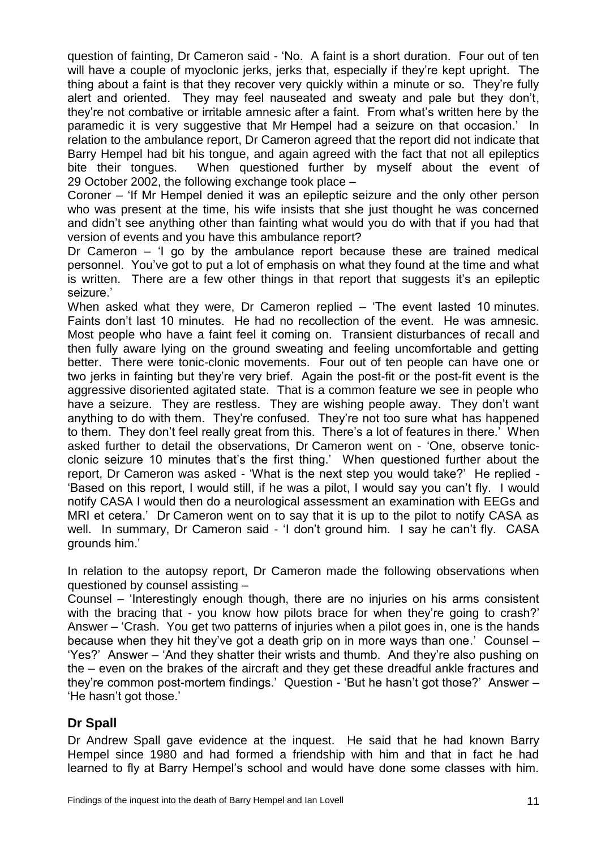question of fainting, Dr Cameron said - 'No. A faint is a short duration. Four out of ten will have a couple of myoclonic jerks, jerks that, especially if they're kept upright. The thing about a faint is that they recover very quickly within a minute or so. They're fully alert and oriented. They may feel nauseated and sweaty and pale but they don't, they're not combative or irritable amnesic after a faint. From what's written here by the paramedic it is very suggestive that Mr Hempel had a seizure on that occasion.' In relation to the ambulance report, Dr Cameron agreed that the report did not indicate that Barry Hempel had bit his tongue, and again agreed with the fact that not all epileptics bite their tongues. When questioned further by myself about the event of 29 October 2002, the following exchange took place –

Coroner – 'If Mr Hempel denied it was an epileptic seizure and the only other person who was present at the time, his wife insists that she just thought he was concerned and didn't see anything other than fainting what would you do with that if you had that version of events and you have this ambulance report?

Dr Cameron – 'I go by the ambulance report because these are trained medical personnel. You've got to put a lot of emphasis on what they found at the time and what is written. There are a few other things in that report that suggests it's an epileptic seizure.'

When asked what they were, Dr Cameron replied – 'The event lasted 10 minutes. Faints don't last 10 minutes. He had no recollection of the event. He was amnesic. Most people who have a faint feel it coming on. Transient disturbances of recall and then fully aware lying on the ground sweating and feeling uncomfortable and getting better. There were tonic-clonic movements. Four out of ten people can have one or two jerks in fainting but they're very brief. Again the post-fit or the post-fit event is the aggressive disoriented agitated state. That is a common feature we see in people who have a seizure. They are restless. They are wishing people away. They don't want anything to do with them. They're confused. They're not too sure what has happened to them. They don't feel really great from this. There's a lot of features in there.' When asked further to detail the observations, Dr Cameron went on - 'One, observe tonicclonic seizure 10 minutes that's the first thing.' When questioned further about the report, Dr Cameron was asked - 'What is the next step you would take?' He replied - 'Based on this report, I would still, if he was a pilot, I would say you can't fly. I would notify CASA I would then do a neurological assessment an examination with EEGs and MRI et cetera.' Dr Cameron went on to say that it is up to the pilot to notify CASA as well. In summary, Dr Cameron said - 'I don't ground him. I say he can't fly. CASA grounds him.'

In relation to the autopsy report, Dr Cameron made the following observations when questioned by counsel assisting –

Counsel – 'Interestingly enough though, there are no injuries on his arms consistent with the bracing that - you know how pilots brace for when they're going to crash?' Answer – 'Crash. You get two patterns of injuries when a pilot goes in, one is the hands because when they hit they've got a death grip on in more ways than one.' Counsel – 'Yes?' Answer – 'And they shatter their wrists and thumb. And they're also pushing on the – even on the brakes of the aircraft and they get these dreadful ankle fractures and they're common post-mortem findings.' Question - 'But he hasn't got those?' Answer – 'He hasn't got those.'

## **Dr Spall**

Dr Andrew Spall gave evidence at the inquest. He said that he had known Barry Hempel since 1980 and had formed a friendship with him and that in fact he had learned to fly at Barry Hempel's school and would have done some classes with him.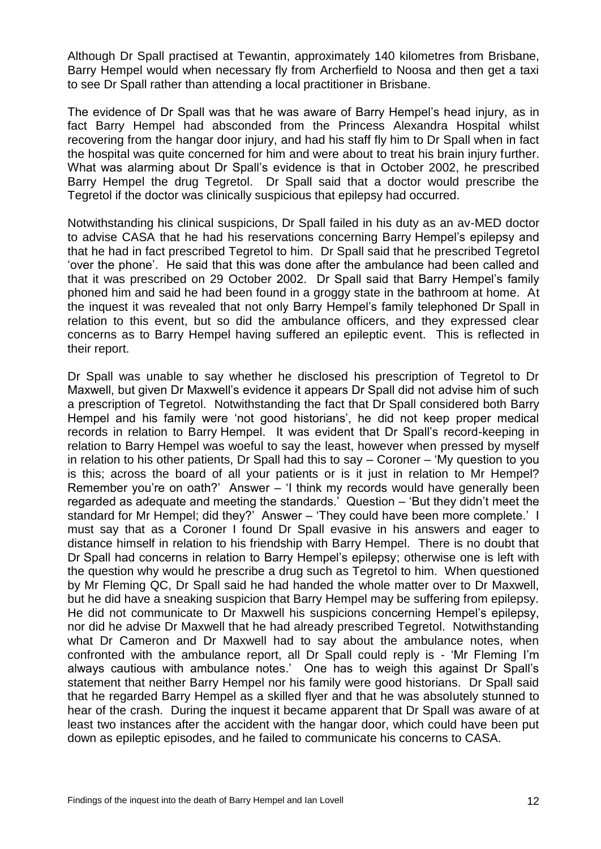Although Dr Spall practised at Tewantin, approximately 140 kilometres from Brisbane, Barry Hempel would when necessary fly from Archerfield to Noosa and then get a taxi to see Dr Spall rather than attending a local practitioner in Brisbane.

The evidence of Dr Spall was that he was aware of Barry Hempel's head injury, as in fact Barry Hempel had absconded from the Princess Alexandra Hospital whilst recovering from the hangar door injury, and had his staff fly him to Dr Spall when in fact the hospital was quite concerned for him and were about to treat his brain injury further. What was alarming about Dr Spall's evidence is that in October 2002, he prescribed Barry Hempel the drug Tegretol. Dr Spall said that a doctor would prescribe the Tegretol if the doctor was clinically suspicious that epilepsy had occurred.

Notwithstanding his clinical suspicions, Dr Spall failed in his duty as an av-MED doctor to advise CASA that he had his reservations concerning Barry Hempel's epilepsy and that he had in fact prescribed Tegretol to him. Dr Spall said that he prescribed Tegretol 'over the phone'. He said that this was done after the ambulance had been called and that it was prescribed on 29 October 2002. Dr Spall said that Barry Hempel's family phoned him and said he had been found in a groggy state in the bathroom at home. At the inquest it was revealed that not only Barry Hempel's family telephoned Dr Spall in relation to this event, but so did the ambulance officers, and they expressed clear concerns as to Barry Hempel having suffered an epileptic event. This is reflected in their report.

Dr Spall was unable to say whether he disclosed his prescription of Tegretol to Dr Maxwell, but given Dr Maxwell's evidence it appears Dr Spall did not advise him of such a prescription of Tegretol. Notwithstanding the fact that Dr Spall considered both Barry Hempel and his family were 'not good historians', he did not keep proper medical records in relation to Barry Hempel. It was evident that Dr Spall's record-keeping in relation to Barry Hempel was woeful to say the least, however when pressed by myself in relation to his other patients, Dr Spall had this to say – Coroner – 'My question to you is this; across the board of all your patients or is it just in relation to Mr Hempel? Remember you're on oath?' Answer – 'I think my records would have generally been regarded as adequate and meeting the standards.' Question – 'But they didn't meet the standard for Mr Hempel; did they?' Answer – 'They could have been more complete.' I must say that as a Coroner I found Dr Spall evasive in his answers and eager to distance himself in relation to his friendship with Barry Hempel. There is no doubt that Dr Spall had concerns in relation to Barry Hempel's epilepsy; otherwise one is left with the question why would he prescribe a drug such as Tegretol to him. When questioned by Mr Fleming QC, Dr Spall said he had handed the whole matter over to Dr Maxwell, but he did have a sneaking suspicion that Barry Hempel may be suffering from epilepsy. He did not communicate to Dr Maxwell his suspicions concerning Hempel's epilepsy, nor did he advise Dr Maxwell that he had already prescribed Tegretol. Notwithstanding what Dr Cameron and Dr Maxwell had to say about the ambulance notes, when confronted with the ambulance report, all Dr Spall could reply is - 'Mr Fleming I'm always cautious with ambulance notes.' One has to weigh this against Dr Spall's statement that neither Barry Hempel nor his family were good historians. Dr Spall said that he regarded Barry Hempel as a skilled flyer and that he was absolutely stunned to hear of the crash. During the inquest it became apparent that Dr Spall was aware of at least two instances after the accident with the hangar door, which could have been put down as epileptic episodes, and he failed to communicate his concerns to CASA.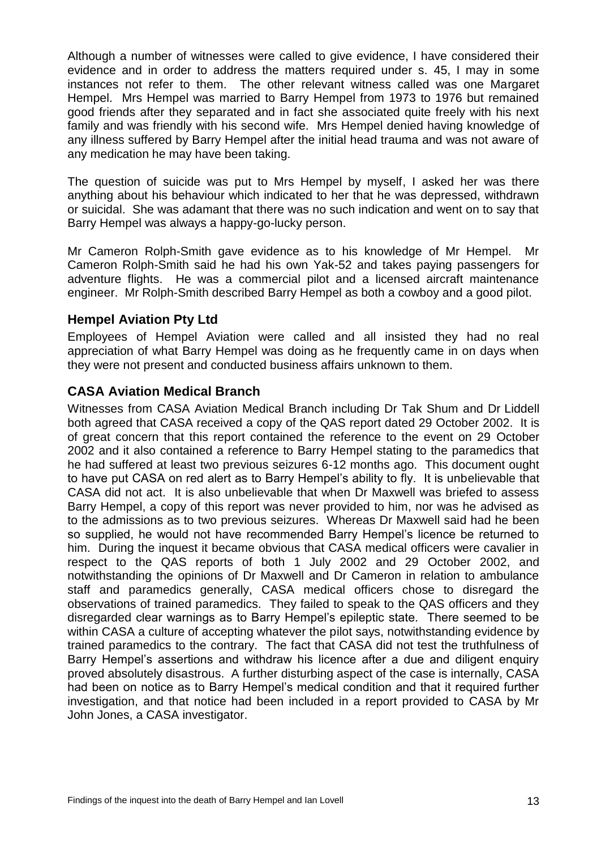Although a number of witnesses were called to give evidence, I have considered their evidence and in order to address the matters required under s. 45, I may in some instances not refer to them. The other relevant witness called was one Margaret Hempel. Mrs Hempel was married to Barry Hempel from 1973 to 1976 but remained good friends after they separated and in fact she associated quite freely with his next family and was friendly with his second wife. Mrs Hempel denied having knowledge of any illness suffered by Barry Hempel after the initial head trauma and was not aware of any medication he may have been taking.

The question of suicide was put to Mrs Hempel by myself, I asked her was there anything about his behaviour which indicated to her that he was depressed, withdrawn or suicidal. She was adamant that there was no such indication and went on to say that Barry Hempel was always a happy-go-lucky person.

Mr Cameron Rolph-Smith gave evidence as to his knowledge of Mr Hempel. Mr Cameron Rolph-Smith said he had his own Yak-52 and takes paying passengers for adventure flights. He was a commercial pilot and a licensed aircraft maintenance engineer. Mr Rolph-Smith described Barry Hempel as both a cowboy and a good pilot.

## **Hempel Aviation Pty Ltd**

Employees of Hempel Aviation were called and all insisted they had no real appreciation of what Barry Hempel was doing as he frequently came in on days when they were not present and conducted business affairs unknown to them.

# **CASA Aviation Medical Branch**

Witnesses from CASA Aviation Medical Branch including Dr Tak Shum and Dr Liddell both agreed that CASA received a copy of the QAS report dated 29 October 2002. It is of great concern that this report contained the reference to the event on 29 October 2002 and it also contained a reference to Barry Hempel stating to the paramedics that he had suffered at least two previous seizures 6-12 months ago. This document ought to have put CASA on red alert as to Barry Hempel's ability to fly. It is unbelievable that CASA did not act. It is also unbelievable that when Dr Maxwell was briefed to assess Barry Hempel, a copy of this report was never provided to him, nor was he advised as to the admissions as to two previous seizures. Whereas Dr Maxwell said had he been so supplied, he would not have recommended Barry Hempel's licence be returned to him. During the inquest it became obvious that CASA medical officers were cavalier in respect to the QAS reports of both 1 July 2002 and 29 October 2002, and notwithstanding the opinions of Dr Maxwell and Dr Cameron in relation to ambulance staff and paramedics generally, CASA medical officers chose to disregard the observations of trained paramedics. They failed to speak to the QAS officers and they disregarded clear warnings as to Barry Hempel's epileptic state. There seemed to be within CASA a culture of accepting whatever the pilot says, notwithstanding evidence by trained paramedics to the contrary. The fact that CASA did not test the truthfulness of Barry Hempel's assertions and withdraw his licence after a due and diligent enquiry proved absolutely disastrous. A further disturbing aspect of the case is internally, CASA had been on notice as to Barry Hempel's medical condition and that it required further investigation, and that notice had been included in a report provided to CASA by Mr John Jones, a CASA investigator.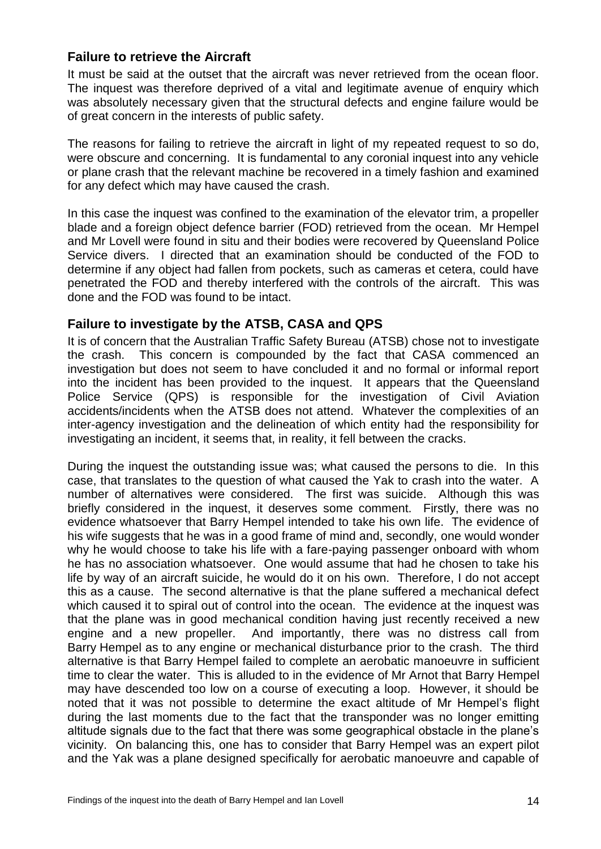#### **Failure to retrieve the Aircraft**

It must be said at the outset that the aircraft was never retrieved from the ocean floor. The inquest was therefore deprived of a vital and legitimate avenue of enquiry which was absolutely necessary given that the structural defects and engine failure would be of great concern in the interests of public safety.

The reasons for failing to retrieve the aircraft in light of my repeated request to so do, were obscure and concerning. It is fundamental to any coronial inquest into any vehicle or plane crash that the relevant machine be recovered in a timely fashion and examined for any defect which may have caused the crash.

In this case the inquest was confined to the examination of the elevator trim, a propeller blade and a foreign object defence barrier (FOD) retrieved from the ocean. Mr Hempel and Mr Lovell were found in situ and their bodies were recovered by Queensland Police Service divers. I directed that an examination should be conducted of the FOD to determine if any object had fallen from pockets, such as cameras et cetera, could have penetrated the FOD and thereby interfered with the controls of the aircraft. This was done and the FOD was found to be intact.

## **Failure to investigate by the ATSB, CASA and QPS**

It is of concern that the Australian Traffic Safety Bureau (ATSB) chose not to investigate the crash. This concern is compounded by the fact that CASA commenced an investigation but does not seem to have concluded it and no formal or informal report into the incident has been provided to the inquest. It appears that the Queensland Police Service (QPS) is responsible for the investigation of Civil Aviation accidents/incidents when the ATSB does not attend. Whatever the complexities of an inter-agency investigation and the delineation of which entity had the responsibility for investigating an incident, it seems that, in reality, it fell between the cracks.

During the inquest the outstanding issue was; what caused the persons to die. In this case, that translates to the question of what caused the Yak to crash into the water. A number of alternatives were considered. The first was suicide. Although this was briefly considered in the inquest, it deserves some comment. Firstly, there was no evidence whatsoever that Barry Hempel intended to take his own life. The evidence of his wife suggests that he was in a good frame of mind and, secondly, one would wonder why he would choose to take his life with a fare-paying passenger onboard with whom he has no association whatsoever. One would assume that had he chosen to take his life by way of an aircraft suicide, he would do it on his own. Therefore, I do not accept this as a cause. The second alternative is that the plane suffered a mechanical defect which caused it to spiral out of control into the ocean. The evidence at the inquest was that the plane was in good mechanical condition having just recently received a new engine and a new propeller. And importantly, there was no distress call from Barry Hempel as to any engine or mechanical disturbance prior to the crash. The third alternative is that Barry Hempel failed to complete an aerobatic manoeuvre in sufficient time to clear the water. This is alluded to in the evidence of Mr Arnot that Barry Hempel may have descended too low on a course of executing a loop. However, it should be noted that it was not possible to determine the exact altitude of Mr Hempel's flight during the last moments due to the fact that the transponder was no longer emitting altitude signals due to the fact that there was some geographical obstacle in the plane's vicinity. On balancing this, one has to consider that Barry Hempel was an expert pilot and the Yak was a plane designed specifically for aerobatic manoeuvre and capable of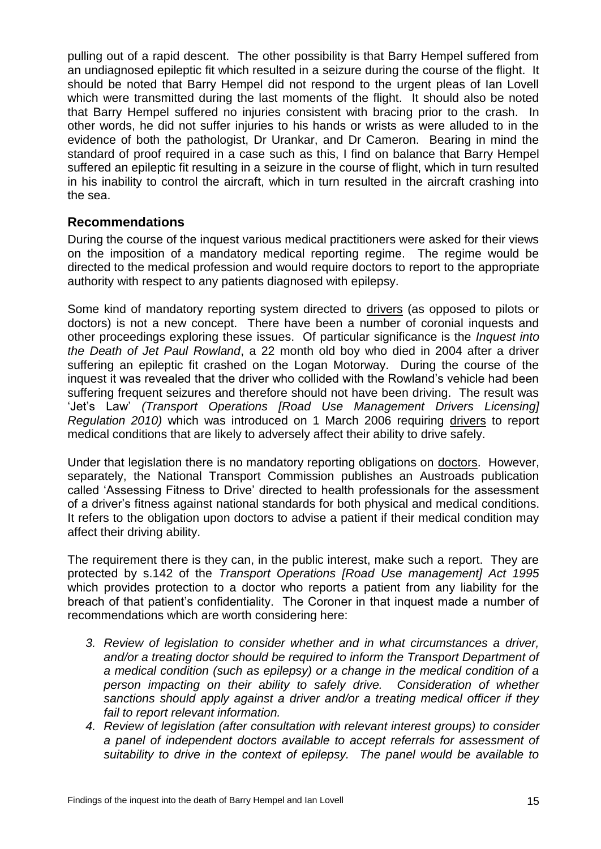pulling out of a rapid descent. The other possibility is that Barry Hempel suffered from an undiagnosed epileptic fit which resulted in a seizure during the course of the flight. It should be noted that Barry Hempel did not respond to the urgent pleas of Ian Lovell which were transmitted during the last moments of the flight. It should also be noted that Barry Hempel suffered no injuries consistent with bracing prior to the crash. In other words, he did not suffer injuries to his hands or wrists as were alluded to in the evidence of both the pathologist, Dr Urankar, and Dr Cameron. Bearing in mind the standard of proof required in a case such as this, I find on balance that Barry Hempel suffered an epileptic fit resulting in a seizure in the course of flight, which in turn resulted in his inability to control the aircraft, which in turn resulted in the aircraft crashing into the sea.

#### **Recommendations**

During the course of the inquest various medical practitioners were asked for their views on the imposition of a mandatory medical reporting regime. The regime would be directed to the medical profession and would require doctors to report to the appropriate authority with respect to any patients diagnosed with epilepsy.

Some kind of mandatory reporting system directed to drivers (as opposed to pilots or doctors) is not a new concept. There have been a number of coronial inquests and other proceedings exploring these issues. Of particular significance is the *Inquest into the Death of Jet Paul Rowland*, a 22 month old boy who died in 2004 after a driver suffering an epileptic fit crashed on the Logan Motorway. During the course of the inquest it was revealed that the driver who collided with the Rowland's vehicle had been suffering frequent seizures and therefore should not have been driving. The result was 'Jet's Law' *(Transport Operations [Road Use Management Drivers Licensing] Regulation 2010)* which was introduced on 1 March 2006 requiring drivers to report medical conditions that are likely to adversely affect their ability to drive safely.

Under that legislation there is no mandatory reporting obligations on doctors. However, separately, the National Transport Commission publishes an Austroads publication called 'Assessing Fitness to Drive' directed to health professionals for the assessment of a driver's fitness against national standards for both physical and medical conditions. It refers to the obligation upon doctors to advise a patient if their medical condition may affect their driving ability.

The requirement there is they can, in the public interest, make such a report. They are protected by s.142 of the *Transport Operations [Road Use management] Act 1995* which provides protection to a doctor who reports a patient from any liability for the breach of that patient's confidentiality. The Coroner in that inquest made a number of recommendations which are worth considering here:

- *3. Review of legislation to consider whether and in what circumstances a driver,*  and/or a treating doctor should be required to inform the Transport Department of *a medical condition (such as epilepsy) or a change in the medical condition of a person impacting on their ability to safely drive. Consideration of whether sanctions should apply against a driver and/or a treating medical officer if they fail to report relevant information.*
- *4. Review of legislation (after consultation with relevant interest groups) to consider a panel of independent doctors available to accept referrals for assessment of suitability to drive in the context of epilepsy. The panel would be available to*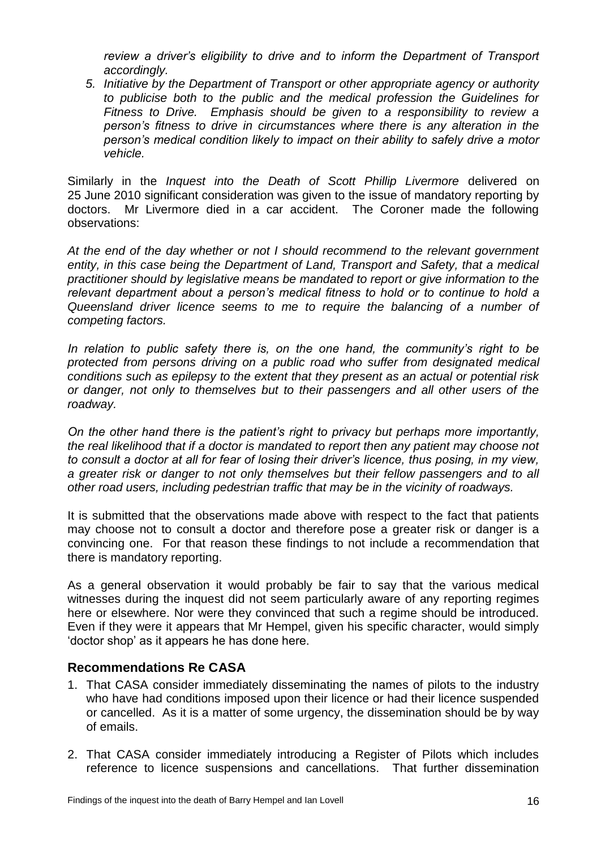*review a driver's eligibility to drive and to inform the Department of Transport accordingly.*

*5. Initiative by the Department of Transport or other appropriate agency or authority to publicise both to the public and the medical profession the Guidelines for Fitness to Drive. Emphasis should be given to a responsibility to review a person's fitness to drive in circumstances where there is any alteration in the person's medical condition likely to impact on their ability to safely drive a motor vehicle.*

Similarly in the *Inquest into the Death of Scott Phillip Livermore* delivered on 25 June 2010 significant consideration was given to the issue of mandatory reporting by doctors. Mr Livermore died in a car accident. The Coroner made the following observations:

*At the end of the day whether or not I should recommend to the relevant government entity, in this case being the Department of Land, Transport and Safety, that a medical practitioner should by legislative means be mandated to report or give information to the relevant department about a person's medical fitness to hold or to continue to hold a Queensland driver licence seems to me to require the balancing of a number of competing factors.*

*In relation to public safety there is, on the one hand, the community's right to be protected from persons driving on a public road who suffer from designated medical conditions such as epilepsy to the extent that they present as an actual or potential risk or danger, not only to themselves but to their passengers and all other users of the roadway.*

*On the other hand there is the patient's right to privacy but perhaps more importantly, the real likelihood that if a doctor is mandated to report then any patient may choose not to consult a doctor at all for fear of losing their driver's licence, thus posing, in my view,*  a greater risk or danger to not only themselves but their fellow passengers and to all *other road users, including pedestrian traffic that may be in the vicinity of roadways.*

It is submitted that the observations made above with respect to the fact that patients may choose not to consult a doctor and therefore pose a greater risk or danger is a convincing one. For that reason these findings to not include a recommendation that there is mandatory reporting.

As a general observation it would probably be fair to say that the various medical witnesses during the inquest did not seem particularly aware of any reporting regimes here or elsewhere. Nor were they convinced that such a regime should be introduced. Even if they were it appears that Mr Hempel, given his specific character, would simply 'doctor shop' as it appears he has done here.

## **Recommendations Re CASA**

- 1. That CASA consider immediately disseminating the names of pilots to the industry who have had conditions imposed upon their licence or had their licence suspended or cancelled. As it is a matter of some urgency, the dissemination should be by way of emails.
- 2. That CASA consider immediately introducing a Register of Pilots which includes reference to licence suspensions and cancellations. That further dissemination